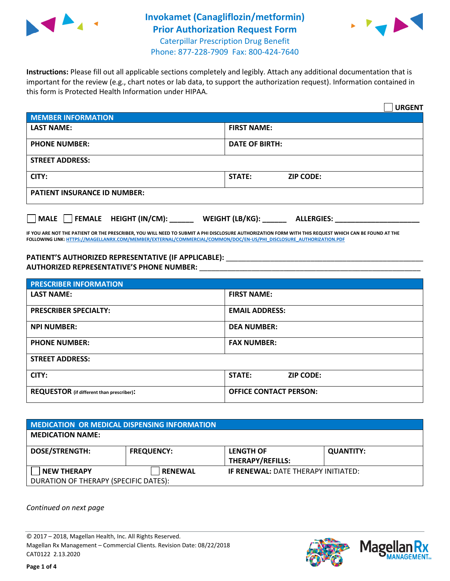

## **Invokamet (Canagliflozin/metformin) Prior Authorization Request Form** Caterpillar Prescription Drug Benefit Phone: 877-228-7909 Fax: 800-424-7640



**Instructions:** Please fill out all applicable sections completely and legibly. Attach any additional documentation that is important for the review (e.g., chart notes or lab data, to support the authorization request). Information contained in this form is Protected Health Information under HIPAA.

|                                       |                                      | <b>URGENT</b> |  |  |
|---------------------------------------|--------------------------------------|---------------|--|--|
| <b>MEMBER INFORMATION</b>             |                                      |               |  |  |
| <b>LAST NAME:</b>                     | <b>FIRST NAME:</b>                   |               |  |  |
| <b>PHONE NUMBER:</b>                  | <b>DATE OF BIRTH:</b>                |               |  |  |
| <b>STREET ADDRESS:</b>                |                                      |               |  |  |
| CITY:                                 | <b>ZIP CODE:</b><br>STATE:           |               |  |  |
| <b>PATIENT INSURANCE ID NUMBER:</b>   |                                      |               |  |  |
| FEMALE HEIGHT (IN/CM):<br><b>MALE</b> | WEIGHT (LB/KG):<br><b>ALLERGIES:</b> |               |  |  |

**IF YOU ARE NOT THE PATIENT OR THE PRESCRIBER, YOU WILL NEED TO SUBMIT A PHI DISCLOSURE AUTHORIZATION FORM WITH THIS REQUEST WHICH CAN BE FOUND AT THE FOLLOWING LINK[: HTTPS://MAGELLANRX.COM/MEMBER/EXTERNAL/COMMERCIAL/COMMON/DOC/EN-US/PHI\\_DISCLOSURE\\_AUTHORIZATION.PDF](https://magellanrx.com/member/external/commercial/common/doc/en-us/PHI_Disclosure_Authorization.pdf)**

PATIENT'S AUTHORIZED REPRESENTATIVE (IF APPLICABLE): \_\_\_\_\_\_\_\_\_\_\_\_\_\_\_\_\_\_\_\_\_\_\_\_\_\_\_ **AUTHORIZED REPRESENTATIVE'S PHONE NUMBER:** \_\_\_\_\_\_\_\_\_\_\_\_\_\_\_\_\_\_\_\_\_\_\_\_\_\_\_\_\_\_\_\_\_\_\_\_\_\_\_\_\_\_\_\_\_\_\_\_\_\_\_\_\_\_\_

| <b>PRESCRIBER INFORMATION</b>             |                               |  |  |
|-------------------------------------------|-------------------------------|--|--|
| <b>LAST NAME:</b>                         | <b>FIRST NAME:</b>            |  |  |
| <b>PRESCRIBER SPECIALTY:</b>              | <b>EMAIL ADDRESS:</b>         |  |  |
| <b>NPI NUMBER:</b>                        | <b>DEA NUMBER:</b>            |  |  |
| <b>PHONE NUMBER:</b>                      | <b>FAX NUMBER:</b>            |  |  |
| <b>STREET ADDRESS:</b>                    |                               |  |  |
| CITY:                                     | STATE:<br><b>ZIP CODE:</b>    |  |  |
| REQUESTOR (if different than prescriber): | <b>OFFICE CONTACT PERSON:</b> |  |  |

| <b>MEDICATION OR MEDICAL DISPENSING INFORMATION</b> |                   |                                            |                  |  |
|-----------------------------------------------------|-------------------|--------------------------------------------|------------------|--|
| <b>MEDICATION NAME:</b>                             |                   |                                            |                  |  |
| <b>DOSE/STRENGTH:</b>                               | <b>FREQUENCY:</b> | <b>LENGTH OF</b>                           | <b>QUANTITY:</b> |  |
|                                                     |                   | <b>THERAPY/REFILLS:</b>                    |                  |  |
| <b>NEW THERAPY</b>                                  | <b>RENEWAL</b>    | <b>IF RENEWAL: DATE THERAPY INITIATED:</b> |                  |  |
| DURATION OF THERAPY (SPECIFIC DATES):               |                   |                                            |                  |  |

*Continued on next page*

© 2017 – 2018, Magellan Health, Inc. All Rights Reserved. Magellan Rx Management – Commercial Clients. Revision Date: 08/22/2018 CAT0122 2.13.2020



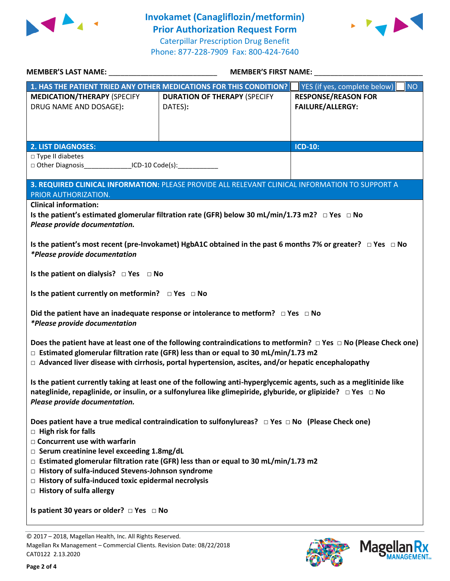

**Invokamet (Canagliflozin/metformin) Prior Authorization Request Form** Caterpillar Prescription Drug Benefit Phone: 877-228-7909 Fax: 800-424-7640



| MEMBER'S LAST NAME: NAME:                                                                                                                                                                                                                                                                                                             |                                                                                                           | <b>MEMBER'S FIRST NAME:</b>                           |  |  |  |  |
|---------------------------------------------------------------------------------------------------------------------------------------------------------------------------------------------------------------------------------------------------------------------------------------------------------------------------------------|-----------------------------------------------------------------------------------------------------------|-------------------------------------------------------|--|--|--|--|
|                                                                                                                                                                                                                                                                                                                                       | 1. HAS THE PATIENT TRIED ANY OTHER MEDICATIONS FOR THIS CONDITION?                                        | YES (if yes, complete below)<br><b>NO</b>             |  |  |  |  |
| <b>MEDICATION/THERAPY (SPECIFY</b><br>DRUG NAME AND DOSAGE):                                                                                                                                                                                                                                                                          | <b>DURATION OF THERAPY (SPECIFY</b><br>DATES):                                                            | <b>RESPONSE/REASON FOR</b><br><b>FAILURE/ALLERGY:</b> |  |  |  |  |
|                                                                                                                                                                                                                                                                                                                                       |                                                                                                           |                                                       |  |  |  |  |
| <b>2. LIST DIAGNOSES:</b>                                                                                                                                                                                                                                                                                                             |                                                                                                           | <b>ICD-10:</b>                                        |  |  |  |  |
| $\Box$ Type II diabetes                                                                                                                                                                                                                                                                                                               |                                                                                                           |                                                       |  |  |  |  |
| □ Other Diagnosis __________________ICD-10 Code(s): ___________________________                                                                                                                                                                                                                                                       |                                                                                                           |                                                       |  |  |  |  |
| 3. REQUIRED CLINICAL INFORMATION: PLEASE PROVIDE ALL RELEVANT CLINICAL INFORMATION TO SUPPORT A<br>PRIOR AUTHORIZATION.                                                                                                                                                                                                               |                                                                                                           |                                                       |  |  |  |  |
| <b>Clinical information:</b>                                                                                                                                                                                                                                                                                                          |                                                                                                           |                                                       |  |  |  |  |
|                                                                                                                                                                                                                                                                                                                                       | Is the patient's estimated glomerular filtration rate (GFR) below 30 mL/min/1.73 m2? $\Box$ Yes $\Box$ No |                                                       |  |  |  |  |
| Please provide documentation.                                                                                                                                                                                                                                                                                                         |                                                                                                           |                                                       |  |  |  |  |
| Is the patient's most recent (pre-Invokamet) HgbA1C obtained in the past 6 months 7% or greater? $\Box$ Yes $\Box$ No<br><i>*Please provide documentation</i>                                                                                                                                                                         |                                                                                                           |                                                       |  |  |  |  |
| Is the patient on dialysis? $\Box$ Yes $\Box$ No                                                                                                                                                                                                                                                                                      |                                                                                                           |                                                       |  |  |  |  |
|                                                                                                                                                                                                                                                                                                                                       | Is the patient currently on metformin? $\Box$ Yes $\Box$ No                                               |                                                       |  |  |  |  |
| Did the patient have an inadequate response or intolerance to metform? $\Box$ Yes $\Box$ No<br><i>*Please provide documentation</i>                                                                                                                                                                                                   |                                                                                                           |                                                       |  |  |  |  |
| Does the patient have at least one of the following contraindications to metformin? $\Box$ Yes $\Box$ No (Please Check one)<br>$\Box$ Estimated glomerular filtration rate (GFR) less than or equal to 30 mL/min/1.73 m2<br>$\Box$ Advanced liver disease with cirrhosis, portal hypertension, ascites, and/or hepatic encephalopathy |                                                                                                           |                                                       |  |  |  |  |
| Is the patient currently taking at least one of the following anti-hyperglycemic agents, such as a meglitinide like<br>nateglinide, repaglinide, or insulin, or a sulfonylurea like glimepiride, glyburide, or glipizide? □ Yes □ No<br>Please provide documentation.                                                                 |                                                                                                           |                                                       |  |  |  |  |
| Does patient have a true medical contraindication to sulfonylureas? $\Box$ Yes $\Box$ No (Please Check one)<br>$\Box$ High risk for falls                                                                                                                                                                                             |                                                                                                           |                                                       |  |  |  |  |
| □ Concurrent use with warfarin                                                                                                                                                                                                                                                                                                        |                                                                                                           |                                                       |  |  |  |  |
| □ Serum creatinine level exceeding 1.8mg/dL                                                                                                                                                                                                                                                                                           |                                                                                                           |                                                       |  |  |  |  |
| $\Box$ Estimated glomerular filtration rate (GFR) less than or equal to 30 mL/min/1.73 m2                                                                                                                                                                                                                                             |                                                                                                           |                                                       |  |  |  |  |
| □ History of sulfa-induced Stevens-Johnson syndrome                                                                                                                                                                                                                                                                                   |                                                                                                           |                                                       |  |  |  |  |
| $\Box$ History of sulfa-induced toxic epidermal necrolysis                                                                                                                                                                                                                                                                            |                                                                                                           |                                                       |  |  |  |  |
| $\Box$ History of sulfa allergy                                                                                                                                                                                                                                                                                                       |                                                                                                           |                                                       |  |  |  |  |
| Is patient 30 years or older? $\Box$ Yes $\Box$ No                                                                                                                                                                                                                                                                                    |                                                                                                           |                                                       |  |  |  |  |

© 2017 – 2018, Magellan Health, Inc. All Rights Reserved. Magellan Rx Management – Commercial Clients. Revision Date: 08/22/2018 CAT0122 2.13.2020



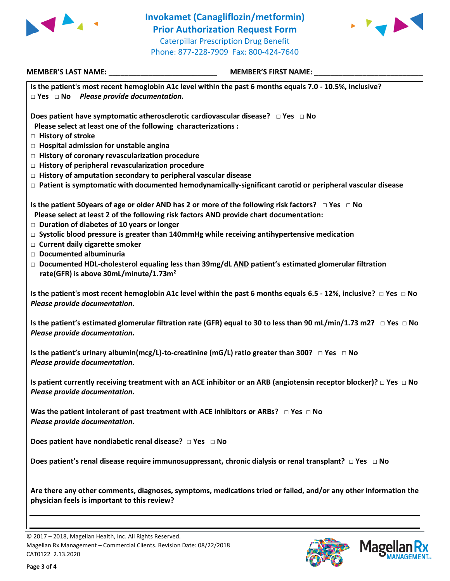



| MEMBER'S LAST NAME: _________________________________                                                                                                                                                                                                         | MEMBER'S FIRST NAME:                                                                                                          |  |
|---------------------------------------------------------------------------------------------------------------------------------------------------------------------------------------------------------------------------------------------------------------|-------------------------------------------------------------------------------------------------------------------------------|--|
| Is the patient's most recent hemoglobin A1c level within the past 6 months equals 7.0 - 10.5%, inclusive?<br>$\Box$ Yes $\Box$ No Please provide documentation.                                                                                               |                                                                                                                               |  |
| Does patient have symptomatic atherosclerotic cardiovascular disease? $\Box$ Yes $\Box$ No<br>Please select at least one of the following characterizations :<br>□ History of stroke                                                                          |                                                                                                                               |  |
| $\Box$ Hospital admission for unstable angina                                                                                                                                                                                                                 |                                                                                                                               |  |
| $\Box$ History of coronary revascularization procedure                                                                                                                                                                                                        |                                                                                                                               |  |
| $\Box$ History of peripheral revascularization procedure<br>$\Box$ History of amputation secondary to peripheral vascular disease                                                                                                                             |                                                                                                                               |  |
| $\Box$ Patient is symptomatic with documented hemodynamically-significant carotid or peripheral vascular disease                                                                                                                                              |                                                                                                                               |  |
| Is the patient 50 years of age or older AND has 2 or more of the following risk factors? $\Box$ Yes $\Box$ No<br>Please select at least 2 of the following risk factors AND provide chart documentation:<br>$\Box$ Duration of diabetes of 10 years or longer |                                                                                                                               |  |
| $\Box$ Systolic blood pressure is greater than 140mmHg while receiving antihypertensive medication<br>□ Current daily cigarette smoker                                                                                                                        |                                                                                                                               |  |
| Documented albuminuria<br>$\Box$ Documented HDL-cholesterol equaling less than 39mg/dL AND patient's estimated glomerular filtration<br>rate(GFR) is above 30mL/minute/1.73m <sup>2</sup>                                                                     |                                                                                                                               |  |
| Is the patient's most recent hemoglobin A1c level within the past 6 months equals 6.5 - 12%, inclusive? $\Box$ Yes $\Box$ No<br>Please provide documentation.                                                                                                 |                                                                                                                               |  |
| Please provide documentation.                                                                                                                                                                                                                                 | Is the patient's estimated glomerular filtration rate (GFR) equal to 30 to less than 90 mL/min/1.73 m2? $\Box$ Yes $\Box$ No  |  |
| Is the patient's urinary albumin(mcg/L)-to-creatinine (mG/L) ratio greater than 300? $\Box$ Yes $\Box$ No<br>Please provide documentation.                                                                                                                    |                                                                                                                               |  |
| Please provide documentation.                                                                                                                                                                                                                                 | Is patient currently receiving treatment with an ACE inhibitor or an ARB (angiotensin receptor blocker)? $\Box$ Yes $\Box$ No |  |
| Was the patient intolerant of past treatment with ACE inhibitors or ARBs? $\Box$ Yes $\Box$ No<br>Please provide documentation.                                                                                                                               |                                                                                                                               |  |
| Does patient have nondiabetic renal disease? □ Yes □ No                                                                                                                                                                                                       |                                                                                                                               |  |
| Does patient's renal disease require immunosuppressant, chronic dialysis or renal transplant? $\Box$ Yes $\Box$ No                                                                                                                                            |                                                                                                                               |  |
| Are there any other comments, diagnoses, symptoms, medications tried or failed, and/or any other information the<br>physician feels is important to this review?                                                                                              |                                                                                                                               |  |